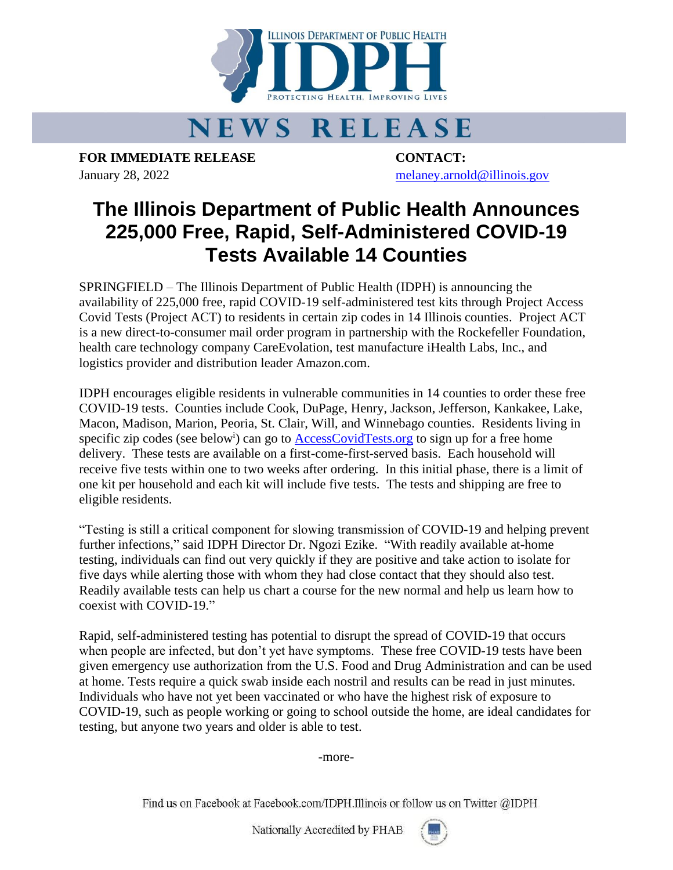

## **NEWS RELEASE**

**FOR IMMEDIATE RELEASE CONTACT:** January 28, 2022 [melaney.arnold@illinois.gov](mailto:melaney.arnold@illinois.gov)

## **The Illinois Department of Public Health Announces 225,000 Free, Rapid, Self-Administered COVID-19 Tests Available 14 Counties**

SPRINGFIELD – The Illinois Department of Public Health (IDPH) is announcing the availability of 225,000 free, rapid COVID-19 self-administered test kits through Project Access Covid Tests (Project ACT) to residents in certain zip codes in 14 Illinois counties. Project ACT is a new direct-to-consumer mail order program in partnership with the Rockefeller Foundation, health care technology company CareEvolation, test manufacture iHealth Labs, Inc., and logistics provider and distribution leader Amazon.com.

IDPH encourages eligible residents in vulnerable communities in 14 counties to order these free COVID-19 tests. Counties include Cook, DuPage, Henry, Jackson, Jefferson, Kankakee, Lake, Macon, Madison, Marion, Peoria, St. Clair, Will, and Winnebago counties. Residents living in specific zip codes (see below<sup>i</sup>) can go to **[AccessCovidTests.org](http://www.accesscovidtests.org/)** to sign up for a free home delivery. These tests are available on a first-come-first-served basis. Each household will receive five tests within one to two weeks after ordering. In this initial phase, there is a limit of one kit per household and each kit will include five tests. The tests and shipping are free to eligible residents.

"Testing is still a critical component for slowing transmission of COVID-19 and helping prevent further infections," said IDPH Director Dr. Ngozi Ezike. "With readily available at-home testing, individuals can find out very quickly if they are positive and take action to isolate for five days while alerting those with whom they had close contact that they should also test. Readily available tests can help us chart a course for the new normal and help us learn how to coexist with COVID-19."

Rapid, self-administered testing has potential to disrupt the spread of COVID-19 that occurs when people are infected, but don't yet have symptoms. These free COVID-19 tests have been given emergency use authorization from the U.S. Food and Drug Administration and can be used at home. Tests require a quick swab inside each nostril and results can be read in just minutes. Individuals who have not yet been vaccinated or who have the highest risk of exposure to COVID-19, such as people working or going to school outside the home, are ideal candidates for testing, but anyone two years and older is able to test.

-more-

Find us on Facebook at Facebook.com/IDPH.Illinois or follow us on Twitter @IDPH

Nationally Accredited by PHAB